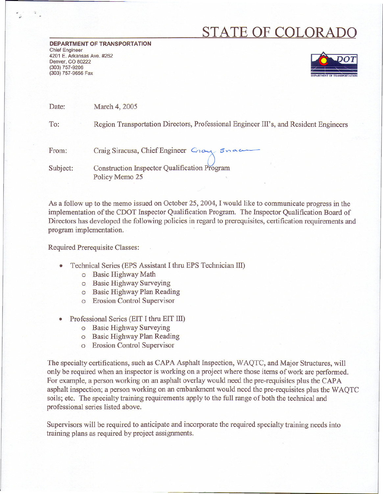## **STATE OF COLORADO**

**DEPARTMENT OF TRANSPORTATION** Chief Engineer 4201 E. Arkansas Ave. #262 Denver, CO 80222 (303) 757-9206 (303) 757-9656 Fax



Date: March 4, 2005

To: Region Transportation Directors, Professional Engineer III's, and Resident Engineers

From: Craig Siracusa, Chief Engineer Cray Snac Construction Inspector Qualification Program Subject:

As a follow up to the memo issued on October 25, 2004, I would like to communicate progress in the implementation of the CDOT Inspector Qualification Program. The Inspector Qualification Board of Directors has developed the following policies in regard to prerequisites, certification requirements and program implementation.

Required Prerequisite Classes:

- Technical Series (EPS Assistant I thru EPS Technician III)
	- 0 Basic Highway Math

Policy Memo 25

- 0 Basic Highway Surveying
- 0 Basic Highway Plan Reading
- 0 Erosion Control Supervisor
- . Professional Series (EIT <sup>I</sup> thru EIT III)
	- 0 Basic Highway Surveying
	- 0 Basic Highway Plan Reading
	- 0 Erosion Control Supervisor

The specialty certifications, such as CAPA Asphalt Inspection, WAQTC, and Major Structures, will only be required when an inspector is working on a project where those items of work are performed. For example, a person working on an asphalt overlay would need the pre-requisites plus the CAPA asphalt inspection; a person working on an embankment would need the pre-requisites plus the WAQTC soils; etc. The specialty training requirements apply to the full range of both the technical and professional series listed above.

Supervisors will be required to anticipate and incorporate the required specialty training needs into training plans as required by project assignments.